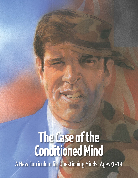# **The Case of the Conditioned Mind**

A New Curriculum for Questioning Minds: Ages 9 -14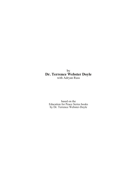by **Dr. Terrence Webster Doyle** with Adryan Russ

based on the Education for Peace Series books by Dr. Terrence Webster-Doyle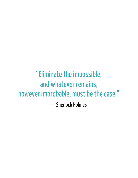"Eliminate the impossible, and whatever remains, however improbable, must be the case." — Sherlock Holmes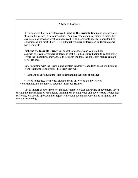# A Note to Teachers

It is important that your children read **Fighting the Invisible Enemy** as you progress through the lessons in this curriculum. You may read certain segments to them, then ask questions based on what you have read. The appropriate ages for understanding conditioning are most likely 10-14, although younger children can understand some basic concepts.

**Fighting the Invisible Enemy** can appeal to teenagers and young adults as much as it can to younger children, in that it is a basic introduction to conditioning. While the illustrations may appeal to younger children, the content is mature enough for older ones.

Before starting with the lesson plans, explain generally to students about conditioning (from reading the book first). Tell them they will:

• Embark on an "adventure" into understanding the roots of conflict.

• Need to deduce, from clues given to them, answers to the mystery of conditioning, like the famous detective, Sherlock Holmes.

Try to impart an air of mystery and excitement to evoke their sense of adventure. Even though the implications of conditioned thinking can be dangerous and have created tremendous suffering, one should approach the subject with young people in a way that is intriguing and thought-provoking.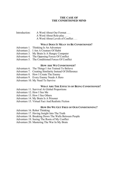# **THE CASE OF THE CONDITIONED MIND**

# Introduction: A Word About Our Format . . . A Word About Role-play . . .

A Word About Levels of Conflict . . .

# **WHAT DOES IT MEAN TO BE CONDITIONED?**

- Adventure 1. Thinking Is An Adventure
- Adventure 2. I Am A Creature Of Habit
- Adventure 3. My Brain Is A Hungry Computer
- Adventure 4. The Opposing Forces Of Conflict
- Adventure 5. The Conditioned Forces Of Conflict

#### **HOW ARE WE CONDITIONED?**

- Adventure 6. The Things I Am Trained To Believe
- Adventure 7. Creating Similarity Instead Of Difference
- Adventure 8. How I Create The Enemy
- Adventure 9. Every Enemy Needs A Hero
- Adventure 10. My Need To Survive

#### **WHAT ARE THE EFFECTS OF BEING CONDITIONED?**

- Adventure 11. Survival At Global Proportions
- Adventure 12. How I See Me
- Adventure 13. How I See Others
- Adventure 14. My Brain Is A Prisoner
- Adventure 15. Virtual Fact And Realistic Fiction

#### **HOW DO WE GET FREE OF OUR CONDITIONING?**

- Adventure 16. Robot Thinking
- Adventure 17. Having Insight Into The Truth
- Adventure 18. Breaking Down The Walls Between People
- Adventure 19. Seeing The Roots of My Conflict
- Adventure 20. Mastering The War In My Brain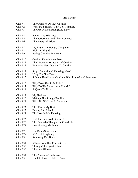# **THE CLUES**

| Clue $#1$  | The Question Of True Or False                            |
|------------|----------------------------------------------------------|
| Clue $#2$  | What Do I Think? Why Do I Think It?                      |
| Clue $#3$  | The Art Of Deduction (Role-play)                         |
| Clue $#4$  | Pavlov And His Dogs                                      |
| Clue $#5$  | The Performers And Their Audience                        |
| Clue $#6$  | The Safety Of Tribes                                     |
| Clue $#7$  | My Brain Is A Hungry Computer                            |
| Clue $#8$  | Fight Or Flight?                                         |
| Clue $#9$  | Spring-Cleaning My Brain                                 |
| Clue $#10$ | <b>Conflict Examination Tree</b>                         |
| Clue $#11$ | The Magnetic Attraction Of Conflict                      |
| Clue $#12$ | Exploring New Options To Conflict                        |
| Clue $#13$ | Stop! Conditioned Thinking Alert!                        |
| Clue $#14$ | I Spy Conflict Clues!                                    |
| Clue $#15$ | Solving Third-Level Conflicts With Right-Level Solutions |
| Clue $#16$ | Why Does This Rule Exist?                                |
| Clue $#17$ | Why Do We Reward And Punish?                             |
| Clue $#18$ | A Quote To Note                                          |
| Clue $#19$ | My Heritage                                              |
| Clue $#20$ | Making The Strange Familiar                              |
| Clue $#21$ | What Do We Have In Common                                |
| Clue $#22$ | The War In My Brain                                      |
| Clue $#23$ | Enemy Into Friend                                        |
| Clue $#24$ | The Hole In My Thinking                                  |
| Clue $#25$ | Feel The Fear And Find A Hero                            |
| Clue $#26$ | The Boy Who Thought He Could Fly                         |
| Clue $#27$ | Conditioning My Brain                                    |
| Clue $#28$ | Old Brain/New Brain                                      |
| Clue $#29$ | We're Still Fighting                                     |
| Clue $#30$ | Renewing Our Brain                                       |
| Clue $#31$ | Where Does This Conflict Exist                           |
| Clue $#32$ | Through The Eyes Of Peace                                |
| Clue $#33$ | The Cost Of War                                          |
| Clue $#34$ | The Person In The Mirror                                 |
| Clue $#35$ | Out Of Place — Out Of Time                               |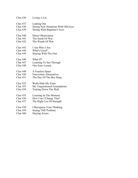| Clue $#36$ | Living A Lie                        |
|------------|-------------------------------------|
| Clue $#37$ | Lashing Out                         |
| Clue $#38$ | Seeing New Situations With Old Eyes |
| Clue $#39$ | Seeing With Beginner's Eyes         |
| Clue $#40$ | Direct Observation                  |
| Clue $#41$ | The Seeds Of War                    |
| Clue $#42$ | The Weeds Of War                    |
| Clue $#43$ | I Am Who I Am                       |
| Clue $#44$ | What's Good?                        |
| Clue $#45$ | <b>Staying With The Fact</b>        |
| Clue $#46$ | What If?                            |
| Clue $#47$ | Learning To See Through             |
| Clue $#48$ | One Easy Lesson                     |
| Clue $#49$ | A Fearless Space                    |
| Clue $#50$ | <b>Nonviolent Alternatives</b>      |
| Clue $#51$ | The Day Of The Bee Sting            |
| Clue $#52$ | Walls Hide My Fears                 |
| Clue $#53$ | My Unquestioned Assumptions         |
| Clue $#54$ | Tearing Down The Wall               |
| Clue $#55$ | Learning In The Moment              |
| Clue $#56$ | How Can I Change That?              |
| Clue $#57$ | The Right Use Of Strength           |
| Clue $#58$ | I Recognize Your Thinking           |
| Clue $#59$ | Seeing THE Problem                  |
| Clue $#60$ | <b>Staying Aware</b>                |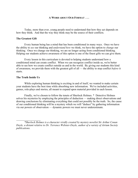#### **A WORD ABOUT OUR FORMAT . . .**

Today, more than ever, young people need to understand that how they act depends on how they think. And that the way they think may be the source of their conflicts.

#### **The Greatest Gift**

Every human being has a mind that has been conditioned in many ways. Once we have the ability to *see* our thinking and *understand how* we think, we have the option to *change* our thinking. Once we change our thinking, we are no longer acting from conditioned thinking. Helping our students achieve awareness of this option is one of the finest gifts we can give them.

Every lesson in this curriculum is devoted to helping students understand how a conditioned mind can create conflict. When we can recognize conflict inside us, we're better able to see how we create conflict outside us and in the world. By giving our students this kind of awareness, we provide them with the greatest gift of all — the ability to stop conflict *before* it starts.

### **The Truth Inside Us**

While exploring human thinking is exciting in and of itself, we wanted to make certain your students have the best time while absorbing new information. We've included activities, games, role-plays and stories, all meant to expand upon material provided in each lesson.

Finally, we've chosen to follow the tenets of Sherlock Holmes. \* Detective Holmes solves his mysteries by employing the principles of deduction — making direct observations and drawing conclusions by eliminating everything that could not possibly be the truth. So, the cause of our conditioned thinking will be a mystery which we will "deduce" by gathering information via our powers of observation — dynamic powers we must never underestimate.

*<sup>\*</sup>Sherlock Holmes is a character vividly created by mystery novelist Sir Arthur Conan Doyle, a distant relative to Dr. Terrence Webster-Doyle, author of a variety of Atrium Society publications.*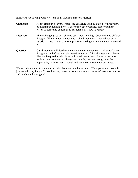Each of the following twenty lessons is divided into three categories:

**Challenge** As the first part of every lesson, the challenge is an invitation to the mystery of thinking something new. It dares us to face what lies before us in the lesson to come and entices us to participate in a new adventure. **Discovery** The challenge gives us a place to spark new thinking. Once new and different thoughts fill our minds, we begin to make discoveries — sometimes very surprising ones — that come simply from looking closely at the world around us. **Question** Our discoveries will lead us to newly attained awareness — things we've not thought about before. Our sharpened minds will fill with questions. They're likely to be questions that have no immediate answers. Some of the most exciting questions are not always answerable, because they give us the opportunity to think them through and decide on answers for ourselves.

We've had a wonderful time putting this adventure together for you. We hope, as you take this journey with us, that you'll take it upon yourselves to make sure that we've left no stone unturned and no clue uninvestigated.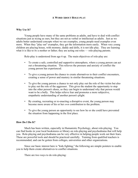## **A WORD ABOUT ROLE-PLAY**

#### **Why Use It?**

Young people have many of the same problems as adults, and have to deal with conflict situations just as trying as ours, but they are not as verbal or intellectual as adults. Just as we adults better understand concepts when we see examples, young people need examples even more. When they "play out" examples, they get the information more easily. When very young children are playing house, with mommy, daddy and dolls, it is not idle play. They are learning what it is like to *be* a mother or father; they are acting out roles — role-playing parents.

Role-play is understood from age 6 up. The main objectives of role-play are:

- To create a safe, controlled and supportive atmosphere, where a young person can act out a threatening situation. This relieves the pressure and anxiety of conflict the young person has experienced.
- To give a young person the chance to create alternatives to their conflict encounters, creating a sense of power and mastery in similar threatening situations.
- To give the young person a chance to not only play out the role of the victim but also to play out the role of the aggressor. This gives the student the opportunity to step into the other person's shoes, so they can begin to understand why that person would want to be a bully. This helps relieve fear and promotes a more subjective, empathetic understanding of another person's plight.
- By creating, recreating or re-enacting a disruptive event, the young person may become more aware of his or her *own* contribution to the problem.
- To give the young person an opportunity to see how he or she could have prevented the situation from happening in the first place.

# **How Do I Do It?**

Much has been written, especially in Humanistic Psychology, about role-playing. You can find books in your local bookstores or library on role-playing and psychodrama that will help you. Role-playing and psychodrama can be very effective in helping people work out their fears. These are powerful tools and should be practiced carefully. Training from qualified teachers is recommended, and can be gotten from colleges, universities and other organizations.

Since our basic interest here is "kids fighting," the following are simple pointers to enable you to help them create alternatives to conflict situations.

There are two ways to do role-playing: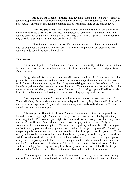1. **Made Up Or Mock Situations.** The advantage here is that you are less likely to get too deeply into emotional problems behind their conflict. The disadvantage is that it is only play-acting. There is no real feeling behind it, and so learning is more at the surface level.

2. **Real Life Situations.** You might uncover emotional trauma a young person has beneath the surface situation. If you sense that a person is "emotionally disturbed," you may want to use mock situations with this person. You may want to let the parents know if you see any behavior that might warrant more professional help.

The advantage here is that real life situations are more real, and the student will have strong emotions around it. This usually helps motivate a person in understanding and wanting to do something about the problem.

### **The Process**

Most role-plays have a "bad guy" and a "good guy" — the Bully and the Victim. Neither is truly solely good or bad, but when we start with a black and white situation, it helps us learn about the grays.

It's good to ask for volunteers. Kids usually love to ham it up. I tell them what the roleplay is about and sometimes hand out sheets that have role-plays already written out for them to read. Some include portions they read as if they were talking out loud to themselves, and some include only dialogue between two or more characters. To avoid confusion, it's advisable to give them an example of what you want, or to read a portion of the dialogue yourself to illustrate the kind of role-playing you are looking for. Get a good role-player by modeling one.

You may want to act as facilitator of each role-play situation or participate yourself. There will always be an audience for every role-play and, as such, they give valuable feedback to the volunteer role-players. They can also boo or cheer, which adds to the dramatic effect and include everyone in the role-play.

The role-plays offered in the Lesson Plans are for your convenience, to help students learn the lesson being taught. You are welcome, however, to create any role-play situation you think might help. For example, you might divide the students into two groups: The Bully Group and the Victim Group. Then, ask one volunteer to act or play out the role of a Bully or Antagonist. He or she comes up to the Victim and starts picking on him or her. The Bully goads the Victim on by pushing, shoving, grabbing (ask students to not get too physical). Try to keep the participants from moving too far away from the center of the group. At this point, the Victim can try out his or her way to walk away with confidence (12 ways to walk away with confidence will be found in Addendum #11). Tell the Bully ahead of time, on the side, not to give up too easily, or to not give up at all. There must be enough time to let the situation be real enough so that the Victim has to work at his/her role. This will create a more realistic situation. As the Victim ("good guy") is trying out a way to walk away with confidence, ask the Bully Group which one the Victim is using. This gets them involved in both sides of the situation.

When using real life situations, you will want more sensitivity. You don't want booing and yelling. It should be more thoughtful and serious. Ask for volunteers to raise their hands.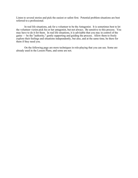Listen to several stories and pick the easiest or safest first. Potential problem situations are best referred to a professional.

In real life situations, ask for a volunteer to be the Antagonist. It is sometimes best to let the volunteer victim pick his or her antagonist, but not always. Be sensitive to this process. You may have to do it for them. In real life situations, it is advisable that you stay in control of the game — be the "authority," gently supporting and guiding the process. Allow them to freely explore their feelings and situations independently, but also, and at the same time, be there for them if they need you.

On the following page are more techniques in role-playing that you can use. Some are already used in the Lesson Plans, and some are not.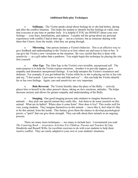# **Additional Role-play Techniques**

o **Soliloquy.** The Victim speaks aloud about feelings he or she had before, during and after the conflict situation. This helps the student to identify his/her feelings as valid, ones that everyone at one time or another feels. It is helpful if YOU are HONEST about your own feelings — your fears, humiliations, and sadness. I usually tell the group about my personal experiences with conflict I had at their age — not as a lecturer, but as someone sharing with them that I know, from the inside, what they are going through.

o **Mirroring.** One person imitates a Victim's behavior. This is an effective way to give feedback and understanding to the Victim as to how others see and react to him or her. It can give the Victim a new viewpoint on the situation. Be very careful that this is done with sensitivity — as a gift rather than a putdown. You might begin this technique by playing the role first yourself.

o **Alter Ego**. The Alter Ego is the Victim's own invisible, unexpressed self. The main purpose is to help the Victim express emotions. Another is to provide support, give empathy and dramatize unexpressed feelings. It can help interpret the Victim's resistances and defenses. For example, if you get behind the Victim while he or she is playing out his or her role and say, "I feel scared. I just want to run and hide and cry" — this can help the Victim identify his or her own feelings. Again, care and sensitivity are very important.

o **Role Reversal.** The Victim literally takes the place of the Bully — actively places him or herself in the other person's shoes, taking on *their* emotions, attitudes. The helps decrease anxiety and allows for greater empathy and understanding of the Bully.

**Imaging.** One good imaging process asks students to imagine themselves as animals — they pick one special animal they really like. Ask them to do some research on this animal: What are its habits? Where does it come from? How does it live? This works well for very young students. They imagine themselves as this animal — move like it, feel what it's like to be this animal, from the inside. This fantasy gives them the chance to develop psychological power, a "spirit" that can give them strength. They can talk about their animals as an ongoing process.

There are many more techniques — too many to include here. I recommend you read *The Centering Book — Awareness Activities For Children, Parents and Teachers* by Gay Hendricks and Russell Wills, for excellent exercises to do with your students to help them resolve conflict. They are easily adapted to your own or your students' situations.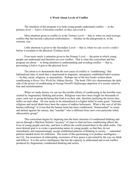## **A Word About Levels of Conflict**

The intention of this program is to help young people understand conflict — at the primary level — *before* it becomes conflict, so they can avoid it.

Most attention given to conflict is at the Tertiary Level — that is, when we must *manage* conflict that has become a physical confrontation — whether on the playground or, in the extreme, war.

Little attention is given to the Secondary Level — that is, when we can *resolve conflict* before it escalates to the physical (Tertiary) level.

Even more rarely is attention given to the Primary Level — the point at which young people can understand and therefore *prevent* conflict. That is what this curriculum and this program are about — to bring attention to understanding and avoiding conflict — that is, preventing it *before* it gets to the physical level.

The intent is to demonstrate that the root cause of conflict is "conditioning," that habitualized state of mind that is imprisoned in dogmatic, antiquated, established belief systems — be they racial, religious, or nationalistic. Perhaps one of the best books written about conditioning is *Brave New World* by Aldous Huxley. The book *1984 also* demonstrates the dark side of the power of conditioning in George Orwell's Stalinesque depiction of a society ruled by fear and misinformation.

When we study history we can see the terrible effects of conditioning in the horrible wars created by fragmentary thinking and action. Religious wars have been fought for thousands of years, each sect or group declaring that God is on their side, therefore justifying the terrors they inflict on each other. All war seems to be rationalized in a higher belief in some good. National, religious and racial ideals have been the causes of endless holocausts. What is the root of all this human suffering? Is it true that the human brain has been conditioned, "brainwashed" to create and defend against the enemy, that "outsider" who is different from one's own particular tribal, ethnocentric group?

This curriculum begins by inquiring into the basic structure of conditioned thinking and moves through a Sherlock Holmes "mystery" of clues to find out how conditioning affects the lives of young people each day, and how it affects the world around them in the adult realm. Our most desired goal is to evoke a questioning nature in young people, so that they do not immediately and unquestioningly accept established patterns of thinking in society — outmoded patterns handed down for millennia. The result of this questioning is to produce intelligence not I.Q., but awareness of relationship, awareness of how peace is prevented by the way we think and believe. It is this active intelligence that has the capacity to understand and avoid conflict produced by fragmentary conditioned thinking and action.